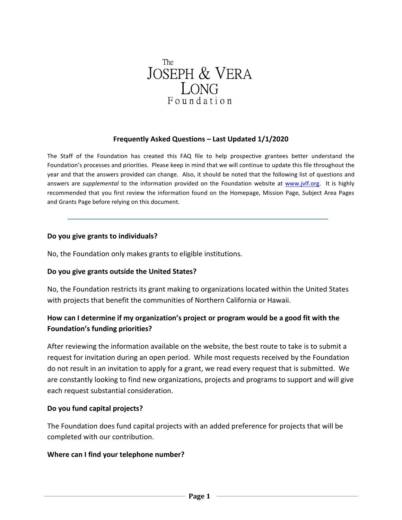

## **Frequently Asked Questions – Last Updated 1/1/2020**

The Staff of the Foundation has created this FAQ file to help prospective grantees better understand the Foundation's processes and priorities. Please keep in mind that we will continue to update this file throughout the year and that the answers provided can change. Also, it should be noted that the following list of questions and answers are *supplemental* to the information provided on the Foundation website at [www.jvlf.org.](http://www.jvlf.org/) It is highly recommended that you first review the information found on the Homepage, Mission Page, Subject Area Pages and Grants Page before relying on this document.

#### **Do you give grants to individuals?**

No, the Foundation only makes grants to eligible institutions.

### **Do you give grants outside the United States?**

No, the Foundation restricts its grant making to organizations located within the United States with projects that benefit the communities of Northern California or Hawaii.

# **How can I determine if my organization's project or program would be a good fit with the Foundation's funding priorities?**

After reviewing the information available on the website, the best route to take is to submit a request for invitation during an open period. While most requests received by the Foundation do not result in an invitation to apply for a grant, we read every request that is submitted. We are constantly looking to find new organizations, projects and programs to support and will give each request substantial consideration.

### **Do you fund capital projects?**

The Foundation does fund capital projects with an added preference for projects that will be completed with our contribution.

### **Where can I find your telephone number?**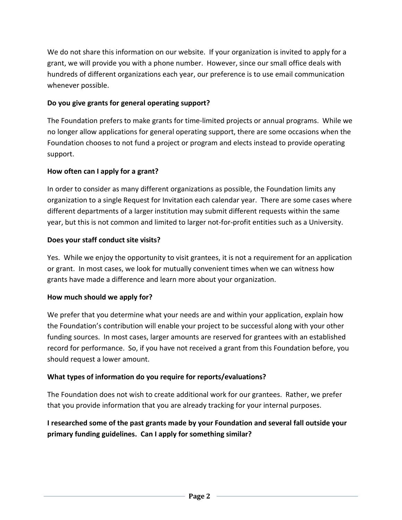We do not share this information on our website. If your organization is invited to apply for a grant, we will provide you with a phone number. However, since our small office deals with hundreds of different organizations each year, our preference is to use email communication whenever possible.

# **Do you give grants for general operating support?**

The Foundation prefers to make grants for time-limited projects or annual programs. While we no longer allow applications for general operating support, there are some occasions when the Foundation chooses to not fund a project or program and elects instead to provide operating support.

# **How often can I apply for a grant?**

In order to consider as many different organizations as possible, the Foundation limits any organization to a single Request for Invitation each calendar year. There are some cases where different departments of a larger institution may submit different requests within the same year, but this is not common and limited to larger not-for-profit entities such as a University.

# **Does your staff conduct site visits?**

Yes. While we enjoy the opportunity to visit grantees, it is not a requirement for an application or grant. In most cases, we look for mutually convenient times when we can witness how grants have made a difference and learn more about your organization.

## **How much should we apply for?**

We prefer that you determine what your needs are and within your application, explain how the Foundation's contribution will enable your project to be successful along with your other funding sources. In most cases, larger amounts are reserved for grantees with an established record for performance. So, if you have not received a grant from this Foundation before, you should request a lower amount.

# **What types of information do you require for reports/evaluations?**

The Foundation does not wish to create additional work for our grantees. Rather, we prefer that you provide information that you are already tracking for your internal purposes.

# **I researched some of the past grants made by your Foundation and several fall outside your primary funding guidelines. Can I apply for something similar?**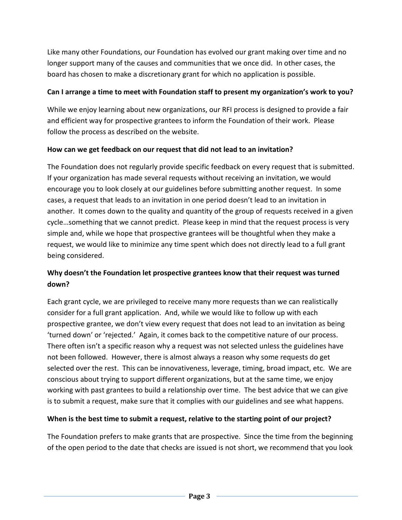Like many other Foundations, our Foundation has evolved our grant making over time and no longer support many of the causes and communities that we once did. In other cases, the board has chosen to make a discretionary grant for which no application is possible.

# **Can I arrange a time to meet with Foundation staff to present my organization's work to you?**

While we enjoy learning about new organizations, our RFI process is designed to provide a fair and efficient way for prospective grantees to inform the Foundation of their work. Please follow the process as described on the website.

# **How can we get feedback on our request that did not lead to an invitation?**

The Foundation does not regularly provide specific feedback on every request that is submitted. If your organization has made several requests without receiving an invitation, we would encourage you to look closely at our guidelines before submitting another request. In some cases, a request that leads to an invitation in one period doesn't lead to an invitation in another. It comes down to the quality and quantity of the group of requests received in a given cycle…something that we cannot predict. Please keep in mind that the request process is very simple and, while we hope that prospective grantees will be thoughtful when they make a request, we would like to minimize any time spent which does not directly lead to a full grant being considered.

# **Why doesn't the Foundation let prospective grantees know that their request was turned down?**

Each grant cycle, we are privileged to receive many more requests than we can realistically consider for a full grant application. And, while we would like to follow up with each prospective grantee, we don't view every request that does not lead to an invitation as being 'turned down' or 'rejected.' Again, it comes back to the competitive nature of our process. There often isn't a specific reason why a request was not selected unless the guidelines have not been followed. However, there is almost always a reason why some requests do get selected over the rest. This can be innovativeness, leverage, timing, broad impact, etc. We are conscious about trying to support different organizations, but at the same time, we enjoy working with past grantees to build a relationship over time. The best advice that we can give is to submit a request, make sure that it complies with our guidelines and see what happens.

# **When is the best time to submit a request, relative to the starting point of our project?**

The Foundation prefers to make grants that are prospective. Since the time from the beginning of the open period to the date that checks are issued is not short, we recommend that you look